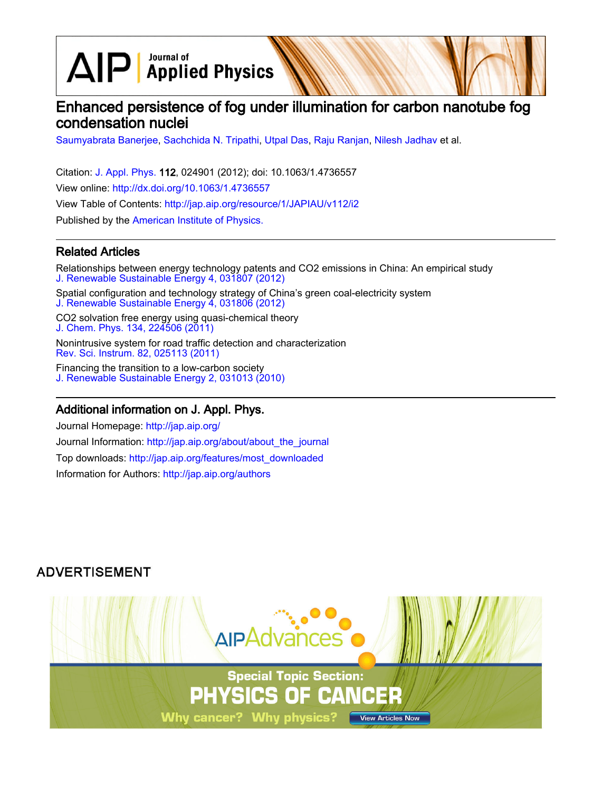$\Delta$ IP  $\sqrt{\phantom{a}}^{\text{Journal of}}$  Applied Physics

# Enhanced persistence of fog under illumination for carbon nanotube fog condensation nuclei

[Saumyabrata Banerjee](http://jap.aip.org/search?sortby=newestdate&q=&searchzone=2&searchtype=searchin&faceted=faceted&key=AIP_ALL&possible1=Saumyabrata Banerjee&possible1zone=author&alias=&displayid=AIP&ver=pdfcov), [Sachchida N. Tripathi](http://jap.aip.org/search?sortby=newestdate&q=&searchzone=2&searchtype=searchin&faceted=faceted&key=AIP_ALL&possible1=Sachchida N. Tripathi&possible1zone=author&alias=&displayid=AIP&ver=pdfcov), [Utpal Das,](http://jap.aip.org/search?sortby=newestdate&q=&searchzone=2&searchtype=searchin&faceted=faceted&key=AIP_ALL&possible1=Utpal Das&possible1zone=author&alias=&displayid=AIP&ver=pdfcov) [Raju Ranjan](http://jap.aip.org/search?sortby=newestdate&q=&searchzone=2&searchtype=searchin&faceted=faceted&key=AIP_ALL&possible1=Raju Ranjan&possible1zone=author&alias=&displayid=AIP&ver=pdfcov), [Nilesh Jadhav](http://jap.aip.org/search?sortby=newestdate&q=&searchzone=2&searchtype=searchin&faceted=faceted&key=AIP_ALL&possible1=Nilesh Jadhav&possible1zone=author&alias=&displayid=AIP&ver=pdfcov) et al.

Citation: [J. Appl. Phys.](http://jap.aip.org/?ver=pdfcov) 112, 024901 (2012); doi: 10.1063/1.4736557 View online: [http://dx.doi.org/10.1063/1.4736557](http://link.aip.org/link/doi/10.1063/1.4736557?ver=pdfcov) View Table of Contents: [http://jap.aip.org/resource/1/JAPIAU/v112/i2](http://jap.aip.org/resource/1/JAPIAU/v112/i2?ver=pdfcov) Published by the [American Institute of Physics.](http://www.aip.org/?ver=pdfcov)

## Related Articles

Relationships between energy technology patents and CO2 emissions in China: An empirical study [J. Renewable Sustainable Energy 4, 031807 \(2012\)](http://link.aip.org/link/doi/10.1063/1.4730596?ver=pdfcov)

Spatial configuration and technology strategy of China's green coal-electricity system [J. Renewable Sustainable Energy 4, 031806 \(2012\)](http://link.aip.org/link/doi/10.1063/1.4730419?ver=pdfcov)

CO2 solvation free energy using quasi-chemical theory [J. Chem. Phys. 134, 224506 \(2011\)](http://link.aip.org/link/doi/10.1063/1.3598470?ver=pdfcov)

Nonintrusive system for road traffic detection and characterization [Rev. Sci. Instrum. 82, 025113 \(2011\)](http://link.aip.org/link/doi/10.1063/1.3543819?ver=pdfcov)

Financing the transition to a low-carbon society [J. Renewable Sustainable Energy 2, 031013 \(2010\)](http://link.aip.org/link/doi/10.1063/1.3459135?ver=pdfcov)

### Additional information on J. Appl. Phys.

Journal Homepage: [http://jap.aip.org/](http://jap.aip.org/?ver=pdfcov) Journal Information: [http://jap.aip.org/about/about\\_the\\_journal](http://jap.aip.org/about/about_the_journal?ver=pdfcov) Top downloads: [http://jap.aip.org/features/most\\_downloaded](http://jap.aip.org/features/most_downloaded?ver=pdfcov) Information for Authors: [http://jap.aip.org/authors](http://jap.aip.org/authors?ver=pdfcov)

# **ADVERTISEMENT**

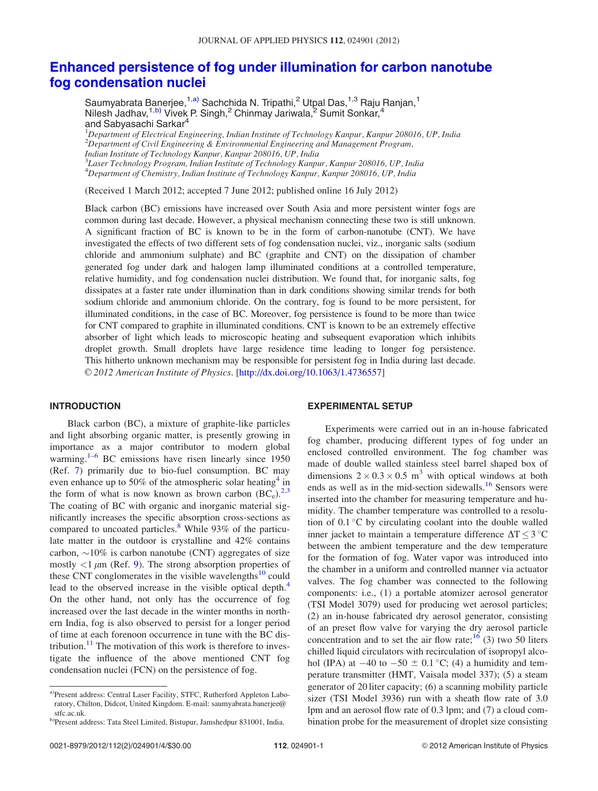## [Enhanced persistence of fog under illumination for carbon nanotube](http://dx.doi.org/10.1063/1.4736557) [fog condensation nuclei](http://dx.doi.org/10.1063/1.4736557)

Saumyabrata Banerjee,<sup>1,a)</sup> Sachchida N. Tripathi,<sup>2</sup> Utpal Das,<sup>1,3</sup> Raju Ranjan,<sup>1</sup> Nilesh Jadhav,<sup>1,b)</sup> Vivek P. Singh,<sup>2</sup> Chinmay Jariwala,<sup>2</sup> Sumit Sonkar,<sup>4</sup> and Sabyasachi Sarkar<sup>4</sup>

<sup>1</sup>Department of Electrical Engineering, Indian Institute of Technology Kanpur, Kanpur 208016, UP, India 2 Department of Civil Engineering & Environmental Engineering and Management Program, Indian Institute of Technology Kanpur, Kanpur 208016, UP, India <sup>3</sup>Laser Technology Program, Indian Institute of Technology Kanpur, Kanpur 208016, UP, India 4 Department of Chemistry, Indian Institute of Technology Kanpur, Kanpur 208016, UP, India

(Received 1 March 2012; accepted 7 June 2012; published online 16 July 2012)

Black carbon (BC) emissions have increased over South Asia and more persistent winter fogs are common during last decade. However, a physical mechanism connecting these two is still unknown. A significant fraction of BC is known to be in the form of carbon-nanotube (CNT). We have investigated the effects of two different sets of fog condensation nuclei, viz., inorganic salts (sodium chloride and ammonium sulphate) and BC (graphite and CNT) on the dissipation of chamber generated fog under dark and halogen lamp illuminated conditions at a controlled temperature, relative humidity, and fog condensation nuclei distribution. We found that, for inorganic salts, fog dissipates at a faster rate under illumination than in dark conditions showing similar trends for both sodium chloride and ammonium chloride. On the contrary, fog is found to be more persistent, for illuminated conditions, in the case of BC. Moreover, fog persistence is found to be more than twice for CNT compared to graphite in illuminated conditions. CNT is known to be an extremely effective absorber of light which leads to microscopic heating and subsequent evaporation which inhibits droplet growth. Small droplets have large residence time leading to longer fog persistence. This hitherto unknown mechanism may be responsible for persistent fog in India during last decade. V<sup>C</sup> 2012 American Institute of Physics. [[http://dx.doi.org/10.1063/1.4736557\]](http://dx.doi.org/10.1063/1.4736557)

### INTRODUCTION

Black carbon (BC), a mixture of graphite-like particles and light absorbing organic matter, is presently growing in importance as a major contributor to modern global warming.<sup>[1–6](#page-4-0)</sup> BC emissions have risen linearly since  $1950$ (Ref. [7](#page-4-0)) primarily due to bio-fuel consumption. BC may even enhance up to 50% of the atmospheric solar heating<sup>[4](#page-4-0)</sup> in the form of what is now known as brown carbon  $(BC_e)^{2,3}$  $(BC_e)^{2,3}$  $(BC_e)^{2,3}$ The coating of BC with organic and inorganic material significantly increases the specific absorption cross-sections as compared to uncoated particles.<sup>[8](#page-4-0)</sup> While 93% of the particulate matter in the outdoor is crystalline and 42% contains carbon,  $\sim$ 10% is carbon nanotube (CNT) aggregates of size mostly  $\langle 1 \mu m$  (Ref. [9](#page-4-0)). The strong absorption properties of these CNT conglomerates in the visible wavelengths $^{10}$  $^{10}$  $^{10}$  could lead to the observed increase in the visible optical depth.<sup>4</sup> On the other hand, not only has the occurrence of fog increased over the last decade in the winter months in northern India, fog is also observed to persist for a longer period of time at each forenoon occurrence in tune with the BC dis-tribution.<sup>[11](#page-4-0)</sup> The motivation of this work is therefore to investigate the influence of the above mentioned CNT fog condensation nuclei (FCN) on the persistence of fog.

#### EXPERIMENTAL SETUP

Experiments were carried out in an in-house fabricated fog chamber, producing different types of fog under an enclosed controlled environment. The fog chamber was made of double walled stainless steel barrel shaped box of dimensions  $2 \times 0.3 \times 0.5$  m<sup>3</sup> with optical windows at both ends as well as in the mid-section sidewalls.<sup>[16](#page-4-0)</sup> Sensors were inserted into the chamber for measuring temperature and humidity. The chamber temperature was controlled to a resolution of  $0.1 \degree C$  by circulating coolant into the double walled inner jacket to maintain a temperature difference  $\Delta T \leq 3 \degree C$ between the ambient temperature and the dew temperature for the formation of fog. Water vapor was introduced into the chamber in a uniform and controlled manner via actuator valves. The fog chamber was connected to the following components: i.e., (1) a portable atomizer aerosol generator (TSI Model 3079) used for producing wet aerosol particles; (2) an in-house fabricated dry aerosol generator, consisting of an preset flow valve for varying the dry aerosol particle concentration and to set the air flow rate;  $^{16}$  $^{16}$  $^{16}$  (3) two 50 liters chilled liquid circulators with recirculation of isopropyl alcohol (IPA) at  $-40$  to  $-50 \pm 0.1$  °C; (4) a humidity and temperature transmitter (HMT, Vaisala model 337); (5) a steam generator of 20 liter capacity; (6) a scanning mobility particle sizer (TSI Model 3936) run with a sheath flow rate of 3.0 lpm and an aerosol flow rate of 0.3 lpm; and (7) a cloud combination probe for the measurement of droplet size consisting

a)Present address: Central Laser Facility, STFC, Rutherford Appleton Laboratory, Chilton, Didcot, United Kingdom. E-mail: saumyabrata.banerjee@ stfc.ac.uk.

b)Present address: Tata Steel Limited, Bistupur, Jamshedpur 831001, India.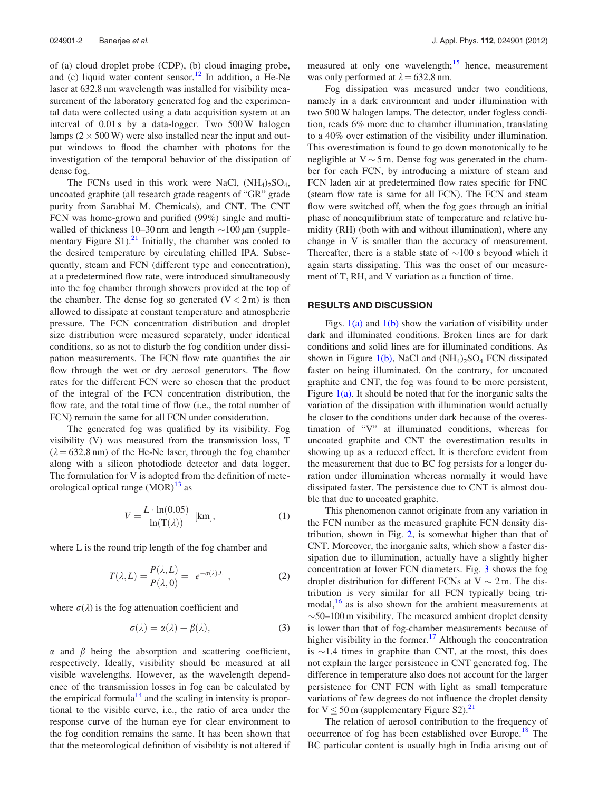of (a) cloud droplet probe (CDP), (b) cloud imaging probe, and (c) liquid water content sensor.<sup>[12](#page-4-0)</sup> In addition, a He-Ne laser at 632.8 nm wavelength was installed for visibility measurement of the laboratory generated fog and the experimental data were collected using a data acquisition system at an interval of 0.01 s by a data-logger. Two 500 W halogen lamps  $(2 \times 500 \,\text{W})$  were also installed near the input and output windows to flood the chamber with photons for the investigation of the temporal behavior of the dissipation of dense fog.

The FCNs used in this work were NaCl,  $(NH_4)_2SO_4$ , uncoated graphite (all research grade reagents of "GR" grade purity from Sarabhai M. Chemicals), and CNT. The CNT FCN was home-grown and purified (99%) single and multiwalled of thickness 10–30 nm and length  $\sim$ 100  $\mu$ m (supple-mentary Figure S1).<sup>[21](#page-4-0)</sup> Initially, the chamber was cooled to the desired temperature by circulating chilled IPA. Subsequently, steam and FCN (different type and concentration), at a predetermined flow rate, were introduced simultaneously into the fog chamber through showers provided at the top of the chamber. The dense fog so generated  $(V < 2m)$  is then allowed to dissipate at constant temperature and atmospheric pressure. The FCN concentration distribution and droplet size distribution were measured separately, under identical conditions, so as not to disturb the fog condition under dissipation measurements. The FCN flow rate quantifies the air flow through the wet or dry aerosol generators. The flow rates for the different FCN were so chosen that the product of the integral of the FCN concentration distribution, the flow rate, and the total time of flow (i.e., the total number of FCN) remain the same for all FCN under consideration.

The generated fog was qualified by its visibility. Fog visibility (V) was measured from the transmission loss, T  $(\lambda = 632.8 \text{ nm})$  of the He-Ne laser, through the fog chamber along with a silicon photodiode detector and data logger. The formulation for V is adopted from the definition of meteorological optical range  $(MOR)^{13}$  $(MOR)^{13}$  $(MOR)^{13}$  as

$$
V = \frac{L \cdot \ln(0.05)}{\ln(T(\lambda))} \text{ [km]},\tag{1}
$$

where L is the round trip length of the fog chamber and

$$
T(\lambda, L) = \frac{P(\lambda, L)}{P(\lambda, 0)} = e^{-\sigma(\lambda)L} \tag{2}
$$

where  $\sigma(\lambda)$  is the fog attenuation coefficient and

$$
\sigma(\lambda) = \alpha(\lambda) + \beta(\lambda),\tag{3}
$$

 $\alpha$  and  $\beta$  being the absorption and scattering coefficient, respectively. Ideally, visibility should be measured at all visible wavelengths. However, as the wavelength dependence of the transmission losses in fog can be calculated by the empirical formula<sup>[14](#page-4-0)</sup> and the scaling in intensity is proportional to the visible curve, i.e., the ratio of area under the response curve of the human eye for clear environment to the fog condition remains the same. It has been shown that that the meteorological definition of visibility is not altered if measured at only one wavelength; $15$  hence, measurement was only performed at  $\lambda = 632.8$  nm.

Fog dissipation was measured under two conditions, namely in a dark environment and under illumination with two 500 W halogen lamps. The detector, under fogless condition, reads 6% more due to chamber illumination, translating to a 40% over estimation of the visibility under illumination. This overestimation is found to go down monotonically to be negligible at  $V \sim 5$  m. Dense fog was generated in the chamber for each FCN, by introducing a mixture of steam and FCN laden air at predetermined flow rates specific for FNC (steam flow rate is same for all FCN). The FCN and steam flow were switched off, when the fog goes through an initial phase of nonequilibrium state of temperature and relative humidity (RH) (both with and without illumination), where any change in V is smaller than the accuracy of measurement. Thereafter, there is a stable state of  $\sim$ 100 s beyond which it again starts dissipating. This was the onset of our measurement of T, RH, and V variation as a function of time.

#### RESULTS AND DISCUSSION

Figs.  $1(a)$  and  $1(b)$  show the variation of visibility under dark and illuminated conditions. Broken lines are for dark conditions and solid lines are for illuminated conditions. As shown in Figure [1\(b\),](#page-3-0) NaCl and  $(NH_4)_2SO_4$  FCN dissipated faster on being illuminated. On the contrary, for uncoated graphite and CNT, the fog was found to be more persistent, Figure  $1(a)$ . It should be noted that for the inorganic salts the variation of the dissipation with illumination would actually be closer to the conditions under dark because of the overestimation of "V" at illuminated conditions, whereas for uncoated graphite and CNT the overestimation results in showing up as a reduced effect. It is therefore evident from the measurement that due to BC fog persists for a longer duration under illumination whereas normally it would have dissipated faster. The persistence due to CNT is almost double that due to uncoated graphite.

This phenomenon cannot originate from any variation in the FCN number as the measured graphite FCN density distribution, shown in Fig. [2](#page-3-0), is somewhat higher than that of CNT. Moreover, the inorganic salts, which show a faster dissipation due to illumination, actually have a slightly higher concentration at lower FCN diameters. Fig. [3](#page-3-0) shows the fog droplet distribution for different FCNs at  $V \sim 2$  m. The distribution is very similar for all FCN typically being trimodal, $16$  as is also shown for the ambient measurements at  $\sim$  50–100 m visibility. The measured ambient droplet density is lower than that of fog-chamber measurements because of higher visibility in the former.<sup>[17](#page-4-0)</sup> Although the concentration is  $\sim$ 1.4 times in graphite than CNT, at the most, this does not explain the larger persistence in CNT generated fog. The difference in temperature also does not account for the larger persistence for CNT FCN with light as small temperature variations of few degrees do not influence the droplet density for  $V \le 50$  m (supplementary Figure S2).<sup>21</sup>

The relation of aerosol contribution to the frequency of occurrence of fog has been established over Europe.<sup>[18](#page-4-0)</sup> The BC particular content is usually high in India arising out of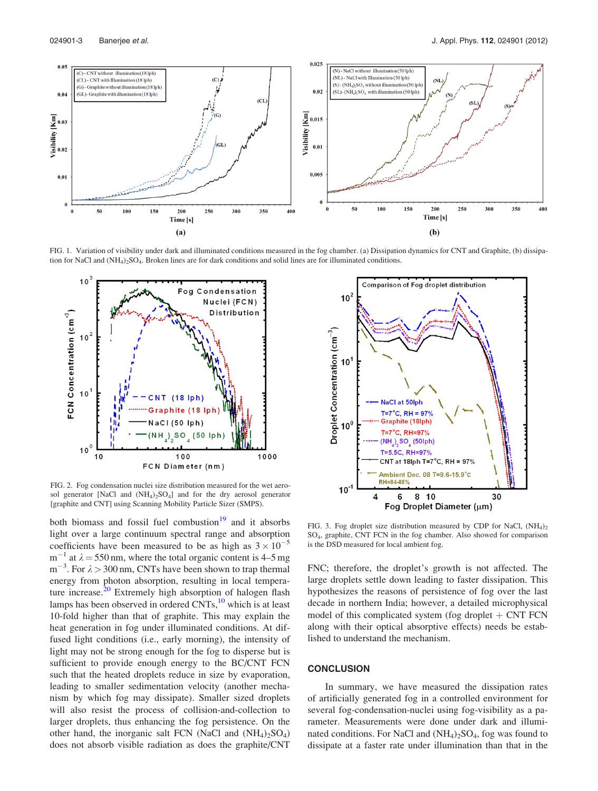<span id="page-3-0"></span>

FIG. 1. Variation of visibility under dark and illuminated conditions measured in the fog chamber. (a) Dissipation dynamics for CNT and Graphite, (b) dissipation for NaCl and  $(NH_4)$ <sub>2</sub>SO<sub>4</sub>. Broken lines are for dark conditions and solid lines are for illuminated conditions.



FIG. 2. Fog condensation nuclei size distribution measured for the wet aerosol generator [NaCl and  $(NH<sub>4</sub>)<sub>2</sub>SO<sub>4</sub>$ ] and for the dry aerosol generator [graphite and CNT] using Scanning Mobility Particle Sizer (SMPS).

both biomass and fossil fuel combustion<sup>[19](#page-4-0)</sup> and it absorbs light over a large continuum spectral range and absorption coefficients have been measured to be as high as  $3 \times 10^{-5}$  $m^{-1}$  at  $\lambda = 550$  nm, where the total organic content is 4–5 mg  $m^{-3}$ . For  $\lambda > 300$  nm, CNTs have been shown to trap thermal energy from photon absorption, resulting in local tempera-ture increase.<sup>[20](#page-4-0)</sup> Extremely high absorption of halogen flash lamps has been observed in ordered  $CNTs$ ,<sup>[10](#page-4-0)</sup> which is at least 10-fold higher than that of graphite. This may explain the heat generation in fog under illuminated conditions. At diffused light conditions (i.e., early morning), the intensity of light may not be strong enough for the fog to disperse but is sufficient to provide enough energy to the BC/CNT FCN such that the heated droplets reduce in size by evaporation, leading to smaller sedimentation velocity (another mechanism by which fog may dissipate). Smaller sized droplets will also resist the process of collision-and-collection to larger droplets, thus enhancing the fog persistence. On the other hand, the inorganic salt FCN (NaCl and  $(NH_4)_{2}SO_4$ ) does not absorb visible radiation as does the graphite/CNT



FIG. 3. Fog droplet size distribution measured by CDP for NaCl,  $(NH_4)$ <sub>2</sub> SO4, graphite, CNT FCN in the fog chamber. Also showed for comparison is the DSD measured for local ambient fog.

FNC; therefore, the droplet's growth is not affected. The large droplets settle down leading to faster dissipation. This hypothesizes the reasons of persistence of fog over the last decade in northern India; however, a detailed microphysical model of this complicated system (fog droplet  $+$  CNT FCN along with their optical absorptive effects) needs be established to understand the mechanism.

#### **CONCLUSION**

In summary, we have measured the dissipation rates of artificially generated fog in a controlled environment for several fog-condensation-nuclei using fog-visibility as a parameter. Measurements were done under dark and illuminated conditions. For NaCl and  $(NH_4)_2SO_4$ , fog was found to dissipate at a faster rate under illumination than that in the